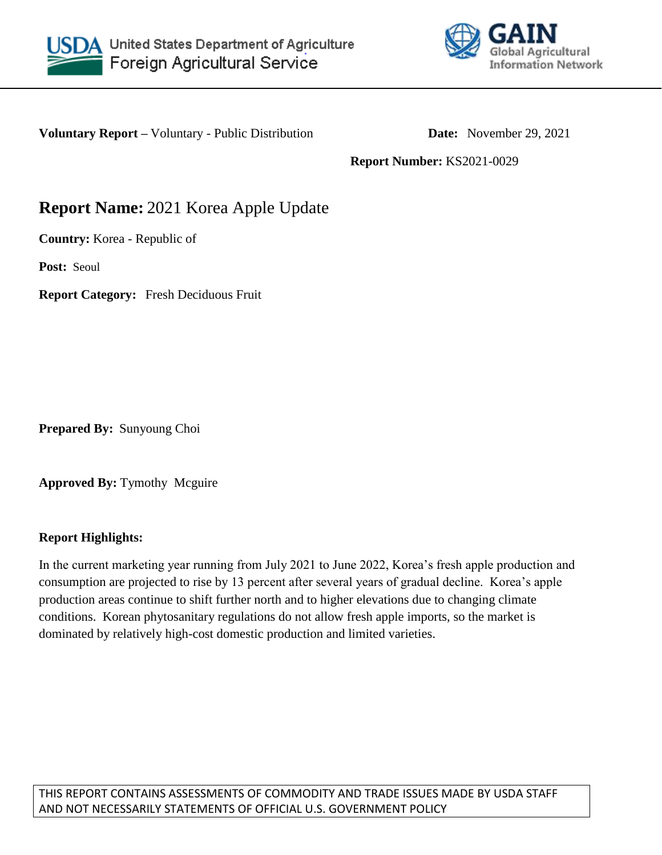



**Voluntary Report** – Voluntary - Public Distribution **Date:** November 29, 2021

**Report Number:** KS2021-0029

# **Report Name:** 2021 Korea Apple Update

**Country:** Korea - Republic of

**Post:** Seoul

**Report Category:** Fresh Deciduous Fruit

**Prepared By:** Sunyoung Choi

**Approved By:** Tymothy Mcguire

# **Report Highlights:**

In the current marketing year running from July 2021 to June 2022, Korea's fresh apple production and consumption are projected to rise by 13 percent after several years of gradual decline. Korea's apple production areas continue to shift further north and to higher elevations due to changing climate conditions. Korean phytosanitary regulations do not allow fresh apple imports, so the market is dominated by relatively high-cost domestic production and limited varieties.

THIS REPORT CONTAINS ASSESSMENTS OF COMMODITY AND TRADE ISSUES MADE BY USDA STAFF AND NOT NECESSARILY STATEMENTS OF OFFICIAL U.S. GOVERNMENT POLICY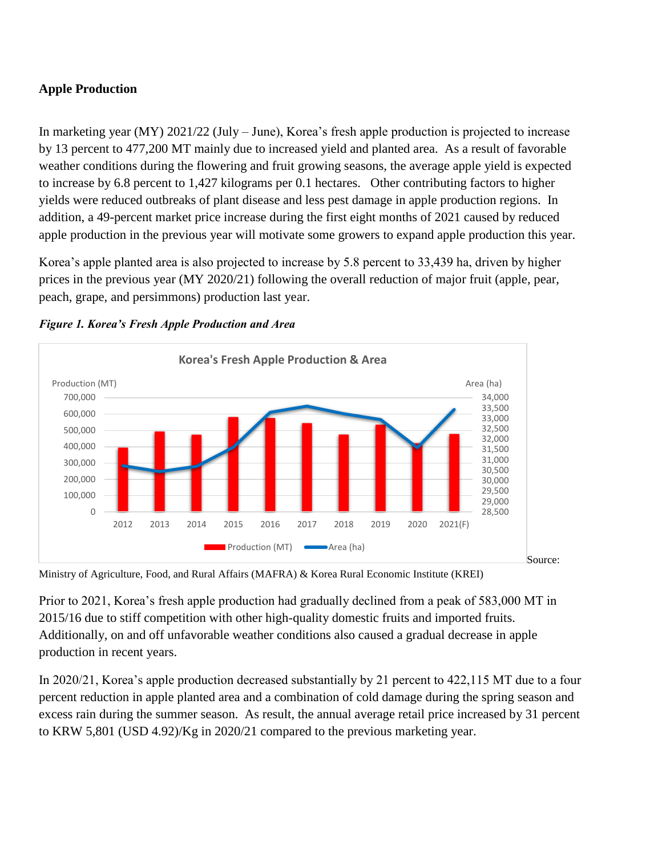# **Apple Production**

In marketing year (MY) 2021/22 (July – June), Korea's fresh apple production is projected to increase by 13 percent to 477,200 MT mainly due to increased yield and planted area. As a result of favorable weather conditions during the flowering and fruit growing seasons, the average apple yield is expected to increase by 6.8 percent to 1,427 kilograms per 0.1 hectares. Other contributing factors to higher yields were reduced outbreaks of plant disease and less pest damage in apple production regions. In addition, a 49-percent market price increase during the first eight months of 2021 caused by reduced apple production in the previous year will motivate some growers to expand apple production this year.

Korea's apple planted area is also projected to increase by 5.8 percent to 33,439 ha, driven by higher prices in the previous year (MY 2020/21) following the overall reduction of major fruit (apple, pear, peach, grape, and persimmons) production last year.



*Figure 1. Korea's Fresh Apple Production and Area* 

Ministry of Agriculture, Food, and Rural Affairs (MAFRA) & Korea Rural Economic Institute (KREI)

Prior to 2021, Korea's fresh apple production had gradually declined from a peak of 583,000 MT in 2015/16 due to stiff competition with other high-quality domestic fruits and imported fruits. Additionally, on and off unfavorable weather conditions also caused a gradual decrease in apple production in recent years.

In 2020/21, Korea's apple production decreased substantially by 21 percent to 422,115 MT due to a four percent reduction in apple planted area and a combination of cold damage during the spring season and excess rain during the summer season. As result, the annual average retail price increased by 31 percent to KRW 5,801 (USD 4.92)/Kg in 2020/21 compared to the previous marketing year.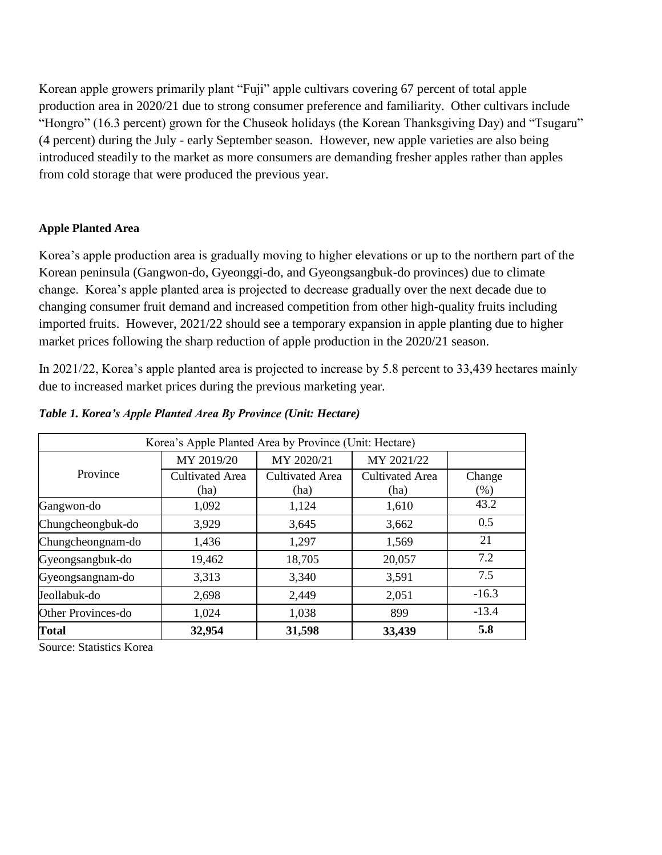Korean apple growers primarily plant "Fuji" apple cultivars covering 67 percent of total apple production area in 2020/21 due to strong consumer preference and familiarity. Other cultivars include "Hongro" (16.3 percent) grown for the Chuseok holidays (the Korean Thanksgiving Day) and "Tsugaru" (4 percent) during the July - early September season. However, new apple varieties are also being introduced steadily to the market as more consumers are demanding fresher apples rather than apples from cold storage that were produced the previous year.

#### **Apple Planted Area**

Korea's apple production area is gradually moving to higher elevations or up to the northern part of the Korean peninsula (Gangwon-do, Gyeonggi-do, and Gyeongsangbuk-do provinces) due to climate change. Korea's apple planted area is projected to decrease gradually over the next decade due to changing consumer fruit demand and increased competition from other high-quality fruits including imported fruits. However, 2021/22 should see a temporary expansion in apple planting due to higher market prices following the sharp reduction of apple production in the 2020/21 season.

In 2021/22, Korea's apple planted area is projected to increase by 5.8 percent to 33,439 hectares mainly due to increased market prices during the previous marketing year.

|                    | Korea's Apple Planted Area by Province (Unit: Hectare) |                                |                         |                |
|--------------------|--------------------------------------------------------|--------------------------------|-------------------------|----------------|
|                    | MY 2019/20                                             | MY 2020/21                     | MY 2021/22              |                |
| Province           | <b>Cultivated Area</b><br>(ha)                         | <b>Cultivated Area</b><br>(ha) | Cultivated Area<br>(ha) | Change<br>(% ) |
| Gangwon-do         | 1,092                                                  | 1,124                          | 1,610                   | 43.2           |
| Chungcheongbuk-do  | 3,929                                                  | 3,645                          | 3,662                   | 0.5            |
| Chungcheongnam-do  | 1,436                                                  | 1,297                          | 1,569                   | 21             |
| Gyeongsangbuk-do   | 19,462                                                 | 18,705                         | 20,057                  | 7.2            |
| Gyeongsangnam-do   | 3,313                                                  | 3,340                          | 3,591                   | 7.5            |
| Jeollabuk-do       | 2,698                                                  | 2,449                          | 2,051                   | $-16.3$        |
| Other Provinces-do | 1,024                                                  | 1,038                          | 899                     | $-13.4$        |
| <b>Total</b>       | 32,954                                                 | 31,598                         | 33,439                  | 5.8            |

*Table 1. Korea's Apple Planted Area By Province (Unit: Hectare)*

Source: Statistics Korea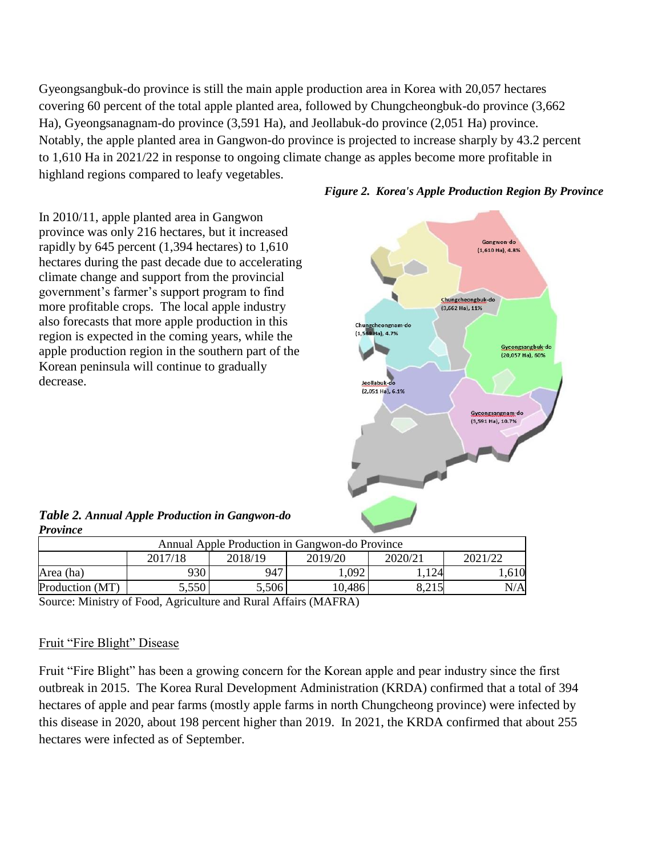Gyeongsangbuk-do province is still the main apple production area in Korea with 20,057 hectares covering 60 percent of the total apple planted area, followed by Chungcheongbuk-do province (3,662 Ha), Gyeongsanagnam-do province (3,591 Ha), and Jeollabuk-do province (2,051 Ha) province. Notably, the apple planted area in Gangwon-do province is projected to increase sharply by 43.2 percent to 1,610 Ha in 2021/22 in response to ongoing climate change as apples become more profitable in highland regions compared to leafy vegetables.

In 2010/11, apple planted area in Gangwon province was only 216 hectares, but it increased rapidly by 645 percent (1,394 hectares) to 1,610 hectares during the past decade due to accelerating climate change and support from the provincial government's farmer's support program to find Chungcheongbuk-do more profitable crops. The local apple industry (3,662 Ha), 11% also forecasts that more apple production in this Chungcheongnam-do<br>(1,569 Ha), 4.7% region is expected in the coming years, while the apple production region in the southern part of the Korean peninsula will continue to gradually decrease. Jeollabuk-do (2,051 Ha), 6.1%



*Figure 2. Korea's Apple Production Region By Province*

*Table 2. Annual Apple Production in Gangwon-do Province*

| Annual Apple Production in Gangwon-do Province              |     |     |      |      |      |  |  |  |
|-------------------------------------------------------------|-----|-----|------|------|------|--|--|--|
| 2020/21<br>2018/19<br>2019/20<br>2021/22<br>2017/18         |     |     |      |      |      |  |  |  |
| Area (ha)                                                   | 930 | 947 | .092 | .124 | .610 |  |  |  |
| 8,215<br>5,550<br>5,506<br>10,486<br>Production (MT)<br>N/A |     |     |      |      |      |  |  |  |

Source: Ministry of Food, Agriculture and Rural Affairs (MAFRA)

## Fruit "Fire Blight" Disease

Fruit "Fire Blight" has been a growing concern for the Korean apple and pear industry since the first outbreak in 2015. The Korea Rural Development Administration (KRDA) confirmed that a total of 394 hectares of apple and pear farms (mostly apple farms in north Chungcheong province) were infected by this disease in 2020, about 198 percent higher than 2019. In 2021, the KRDA confirmed that about 255 hectares were infected as of September.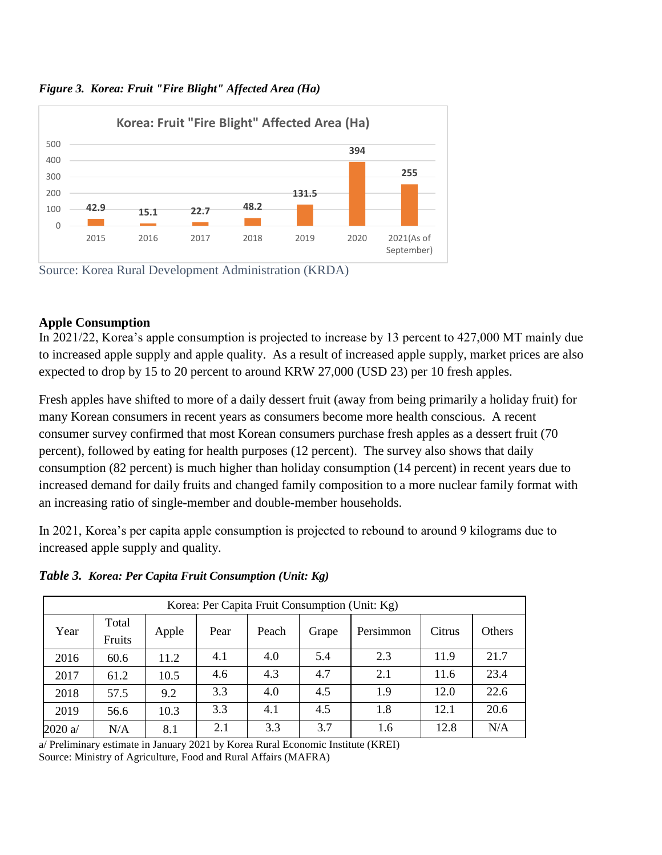

*Figure 3. Korea: Fruit "Fire Blight" Affected Area (Ha)* 



## **Apple Consumption**

In 2021/22, Korea's apple consumption is projected to increase by 13 percent to 427,000 MT mainly due to increased apple supply and apple quality. As a result of increased apple supply, market prices are also expected to drop by 15 to 20 percent to around KRW 27,000 (USD 23) per 10 fresh apples.

Fresh apples have shifted to more of a daily dessert fruit (away from being primarily a holiday fruit) for many Korean consumers in recent years as consumers become more health conscious. A recent consumer survey confirmed that most Korean consumers purchase fresh apples as a dessert fruit (70 percent), followed by eating for health purposes (12 percent). The survey also shows that daily consumption (82 percent) is much higher than holiday consumption (14 percent) in recent years due to increased demand for daily fruits and changed family composition to a more nuclear family format with an increasing ratio of single-member and double-member households.

In 2021, Korea's per capita apple consumption is projected to rebound to around 9 kilograms due to increased apple supply and quality.

*Table 3. Korea: Per Capita Fruit Consumption (Unit: Kg)*

|         | Korea: Per Capita Fruit Consumption (Unit: Kg) |       |      |       |       |           |        |        |
|---------|------------------------------------------------|-------|------|-------|-------|-----------|--------|--------|
| Year    | Total<br>Fruits                                | Apple | Pear | Peach | Grape | Persimmon | Citrus | Others |
| 2016    | 60.6                                           | 11.2  | 4.1  | 4.0   | 5.4   | 2.3       | 11.9   | 21.7   |
| 2017    | 61.2                                           | 10.5  | 4.6  | 4.3   | 4.7   | 2.1       | 11.6   | 23.4   |
| 2018    | 57.5                                           | 9.2   | 3.3  | 4.0   | 4.5   | 1.9       | 12.0   | 22.6   |
| 2019    | 56.6                                           | 10.3  | 3.3  | 4.1   | 4.5   | 1.8       | 12.1   | 20.6   |
| 2020 a/ | N/A                                            | 8.1   | 2.1  | 3.3   | 3.7   | 1.6       | 12.8   | N/A    |

a/ Preliminary estimate in January 2021 by Korea Rural Economic Institute (KREI) Source: Ministry of Agriculture, Food and Rural Affairs (MAFRA)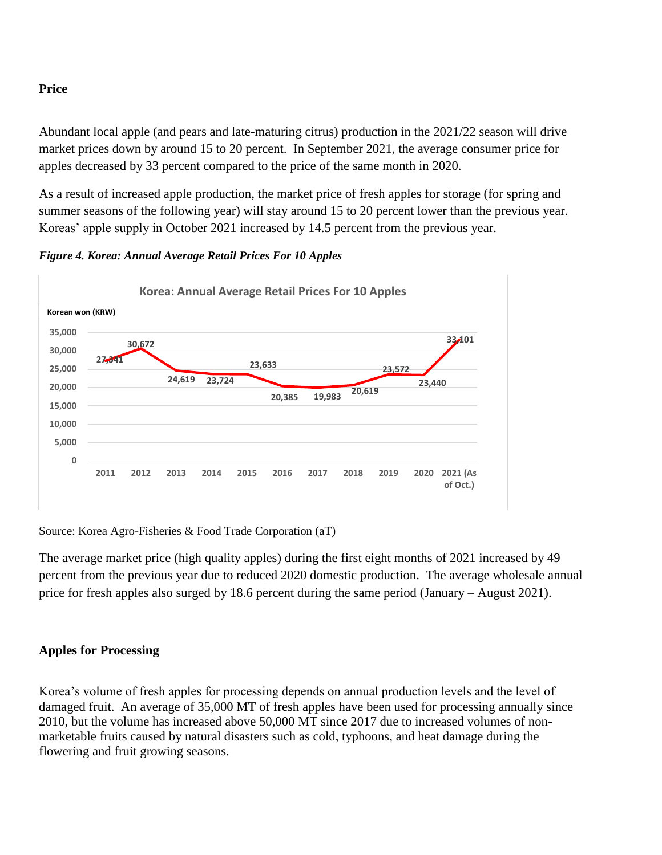## **Price**

Abundant local apple (and pears and late-maturing citrus) production in the 2021/22 season will drive market prices down by around 15 to 20 percent. In September 2021, the average consumer price for apples decreased by 33 percent compared to the price of the same month in 2020.

As a result of increased apple production, the market price of fresh apples for storage (for spring and summer seasons of the following year) will stay around 15 to 20 percent lower than the previous year. Koreas' apple supply in October 2021 increased by 14.5 percent from the previous year.



*Figure 4. Korea: Annual Average Retail Prices For 10 Apples*

Source: Korea Agro-Fisheries & Food Trade Corporation (aT)

The average market price (high quality apples) during the first eight months of 2021 increased by 49 percent from the previous year due to reduced 2020 domestic production. The average wholesale annual price for fresh apples also surged by 18.6 percent during the same period (January – August 2021).

# **Apples for Processing**

Korea's volume of fresh apples for processing depends on annual production levels and the level of damaged fruit. An average of 35,000 MT of fresh apples have been used for processing annually since 2010, but the volume has increased above 50,000 MT since 2017 due to increased volumes of nonmarketable fruits caused by natural disasters such as cold, typhoons, and heat damage during the flowering and fruit growing seasons.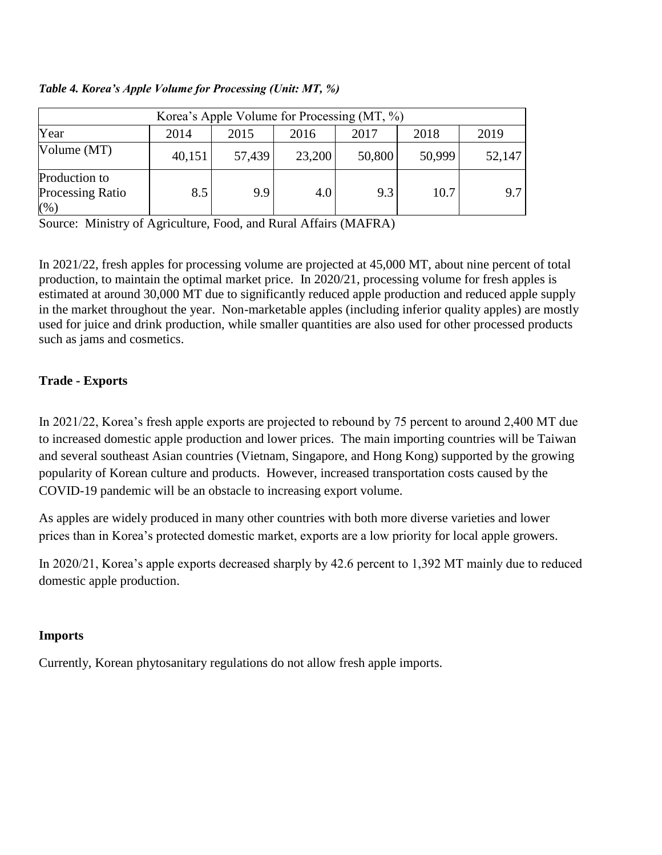|                                                     |        |        |        | Korea's Apple Volume for Processing (MT, %) |        |        |
|-----------------------------------------------------|--------|--------|--------|---------------------------------------------|--------|--------|
| Year                                                | 2014   | 2015   | 2016   | 2017                                        | 2018   | 2019   |
| Volume (MT)                                         | 40,151 | 57,439 | 23,200 | 50,800                                      | 50,999 | 52,147 |
| Production to<br><b>Processing Ratio</b><br>$(\% )$ | 8.5    | 9.9    | 4.0    | 9.3                                         | 10.7   | 9.7    |

*Table 4. Korea's Apple Volume for Processing (Unit: MT, %)*

Source: Ministry of Agriculture, Food, and Rural Affairs (MAFRA)

In 2021/22, fresh apples for processing volume are projected at 45,000 MT, about nine percent of total production, to maintain the optimal market price. In 2020/21, processing volume for fresh apples is estimated at around 30,000 MT due to significantly reduced apple production and reduced apple supply in the market throughout the year. Non-marketable apples (including inferior quality apples) are mostly used for juice and drink production, while smaller quantities are also used for other processed products such as jams and cosmetics.

## **Trade - Exports**

In 2021/22, Korea's fresh apple exports are projected to rebound by 75 percent to around 2,400 MT due to increased domestic apple production and lower prices. The main importing countries will be Taiwan and several southeast Asian countries (Vietnam, Singapore, and Hong Kong) supported by the growing popularity of Korean culture and products. However, increased transportation costs caused by the COVID-19 pandemic will be an obstacle to increasing export volume.

As apples are widely produced in many other countries with both more diverse varieties and lower prices than in Korea's protected domestic market, exports are a low priority for local apple growers.

In 2020/21, Korea's apple exports decreased sharply by 42.6 percent to 1,392 MT mainly due to reduced domestic apple production.

#### **Imports**

Currently, Korean phytosanitary regulations do not allow fresh apple imports.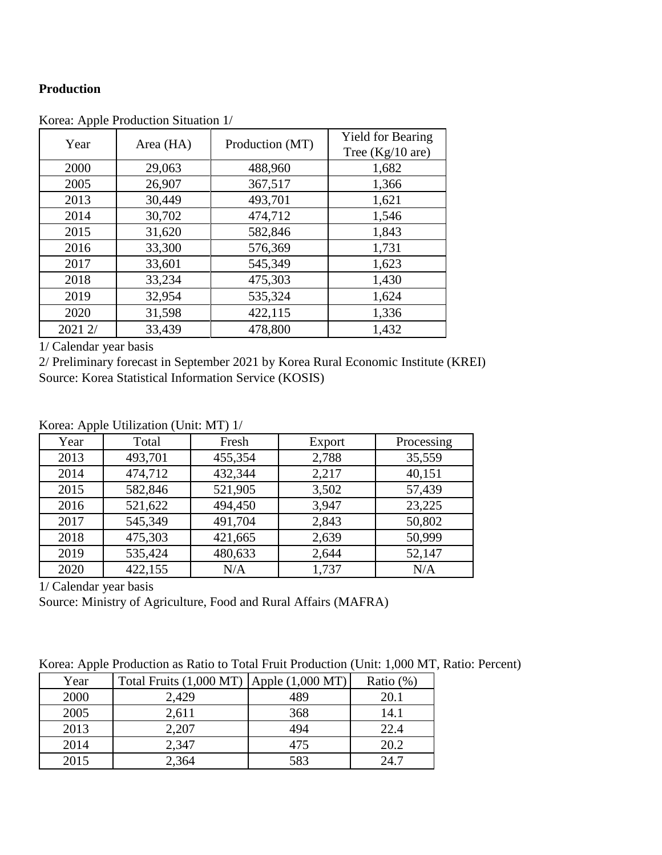## **Production**

| Year    | Area (HA) | Production (MT) | <b>Yield for Bearing</b><br>Tree $(Kg/10$ are) |
|---------|-----------|-----------------|------------------------------------------------|
| 2000    | 29,063    | 488,960         | 1,682                                          |
| 2005    | 26,907    | 367,517         | 1,366                                          |
| 2013    | 30,449    | 493,701         | 1,621                                          |
| 2014    | 30,702    | 474,712         | 1,546                                          |
| 2015    | 31,620    | 582,846         | 1,843                                          |
| 2016    | 33,300    | 576,369         | 1,731                                          |
| 2017    | 33,601    | 545,349         | 1,623                                          |
| 2018    | 33,234    | 475,303         | 1,430                                          |
| 2019    | 32,954    | 535,324         | 1,624                                          |
| 2020    | 31,598    | 422,115         | 1,336                                          |
| 2021 2/ | 33,439    | 478,800         | 1,432                                          |

Korea: Apple Production Situation 1/

1/ Calendar year basis

2/ Preliminary forecast in September 2021 by Korea Rural Economic Institute (KREI) Source: Korea Statistical Information Service (KOSIS)

Korea: Apple Utilization (Unit: MT) 1/

| $\mathbf{r}$ |         |         |        |            |
|--------------|---------|---------|--------|------------|
| Year         | Total   | Fresh   | Export | Processing |
| 2013         | 493,701 | 455,354 | 2,788  | 35,559     |
| 2014         | 474,712 | 432,344 | 2,217  | 40,151     |
| 2015         | 582,846 | 521,905 | 3,502  | 57,439     |
| 2016         | 521,622 | 494,450 | 3,947  | 23,225     |
| 2017         | 545,349 | 491,704 | 2,843  | 50,802     |
| 2018         | 475,303 | 421,665 | 2,639  | 50,999     |
| 2019         | 535,424 | 480,633 | 2,644  | 52,147     |
| 2020         | 422,155 | N/A     | 1,737  | N/A        |

1/ Calendar year basis

Source: Ministry of Agriculture, Food and Rural Affairs (MAFRA)

| Korea: Apple Production as Ratio to Total Fruit Production (Unit: 1,000 MT, Ratio: Percent) |  |  |  |  |  |  |
|---------------------------------------------------------------------------------------------|--|--|--|--|--|--|
|---------------------------------------------------------------------------------------------|--|--|--|--|--|--|

| $\mathbf{r}$ |                                                    |     |              |
|--------------|----------------------------------------------------|-----|--------------|
| Year         | Total Fruits $(1,000$ MT $)$ Apple $(1,000$ MT $)$ |     | Ratio $(\%)$ |
| 2000         | 2,429                                              | 489 | 20.1         |
| 2005         | 2,611                                              | 368 | 14.1         |
| 2013         | 2,207                                              | 494 | 22.4         |
| 2014         | 2,347                                              | 475 | 20.2         |
| 2015         | 2,364                                              | 583 | 24.7         |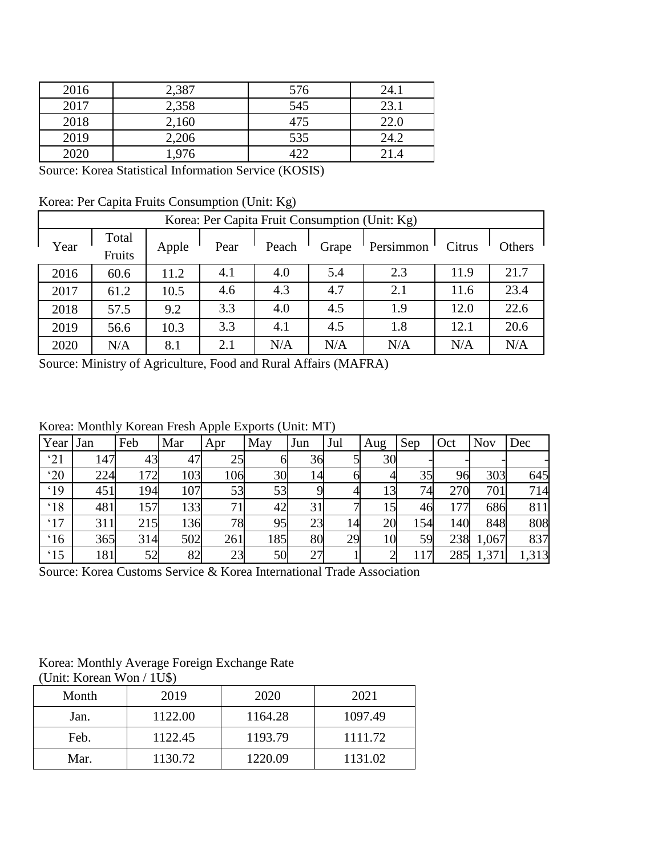| 2016 | 2,387 | 576 | 24.1 |
|------|-------|-----|------|
| 2017 | 2,358 | 545 | 23.1 |
| 2018 | 2,160 | 475 | 22.0 |
| 2019 | 2,206 | 535 | 24.2 |
| 2020 | 1,976 | 122 | 21.4 |

Source: Korea Statistical Information Service (KOSIS)

Korea: Per Capita Fruits Consumption (Unit: Kg)

|      | Korea: Per Capita Fruit Consumption (Unit: Kg) |       |      |       |       |           |        |        |
|------|------------------------------------------------|-------|------|-------|-------|-----------|--------|--------|
| Year | Total<br>Fruits                                | Apple | Pear | Peach | Grape | Persimmon | Citrus | Others |
| 2016 | 60.6                                           | 11.2  | 4.1  | 4.0   | 5.4   | 2.3       | 11.9   | 21.7   |
| 2017 | 61.2                                           | 10.5  | 4.6  | 4.3   | 4.7   | 2.1       | 11.6   | 23.4   |
| 2018 | 57.5                                           | 9.2   | 3.3  | 4.0   | 4.5   | 1.9       | 12.0   | 22.6   |
| 2019 | 56.6                                           | 10.3  | 3.3  | 4.1   | 4.5   | 1.8       | 12.1   | 20.6   |
| 2020 | N/A                                            | 8.1   | 2.1  | N/A   | N/A   | N/A       | N/A    | N/A    |

Source: Ministry of Agriculture, Food and Rural Affairs (MAFRA)

Korea: Monthly Korean Fresh Apple Exports (Unit: MT)

|              |     | Feb |     | -г г |     |     |     |     |     |     |            |       |
|--------------|-----|-----|-----|------|-----|-----|-----|-----|-----|-----|------------|-------|
| Year         | Jan |     | Mar | Apr  | May | Jun | Jul | Aug | Sep | Oct | <b>Nov</b> | Dec   |
| '21          | 147 | 43  | 47  | 25   |     | 36  |     | 30  |     |     |            |       |
| $^{\circ}20$ | 224 | 172 | 103 | 106  | 30  | 14  |     |     | 35  | 96  | 303        | 645   |
| .19          | 451 | 194 | 107 | 53   | 53  |     |     | 13  | 74  | 270 | 701        | 714   |
| $^{\circ}18$ | 481 | 157 | 133 |      | 42  | 31  |     | 15  | 46  | 177 | 686        | 811   |
| .17          | 311 | 215 | 136 | 78   | 95  | 23  | 14  | 20  | 154 | 140 | 848        | 808   |
| $^{\circ}16$ | 365 | 314 | 502 | 261  | 185 | 80  | 29  | 10  | 59  | 238 | 1,067      | 837   |
| $^{\circ}15$ | 181 | 52  | 82  | 23   | 50  | 27  |     |     |     | 285 | 1,371      | 1,313 |

Source: Korea Customs Service & Korea International Trade Association

Korea: Monthly Average Foreign Exchange Rate

|  | (Unit: Korean Won / 1U\$) |  |  |
|--|---------------------------|--|--|
|--|---------------------------|--|--|

| Month | 2019    | 2020    | 2021    |
|-------|---------|---------|---------|
| Jan.  | 1122.00 | 1164.28 | 1097.49 |
| Feb.  | 1122.45 | 1193.79 | 1111.72 |
| Mar.  | 1130.72 | 1220.09 | 1131.02 |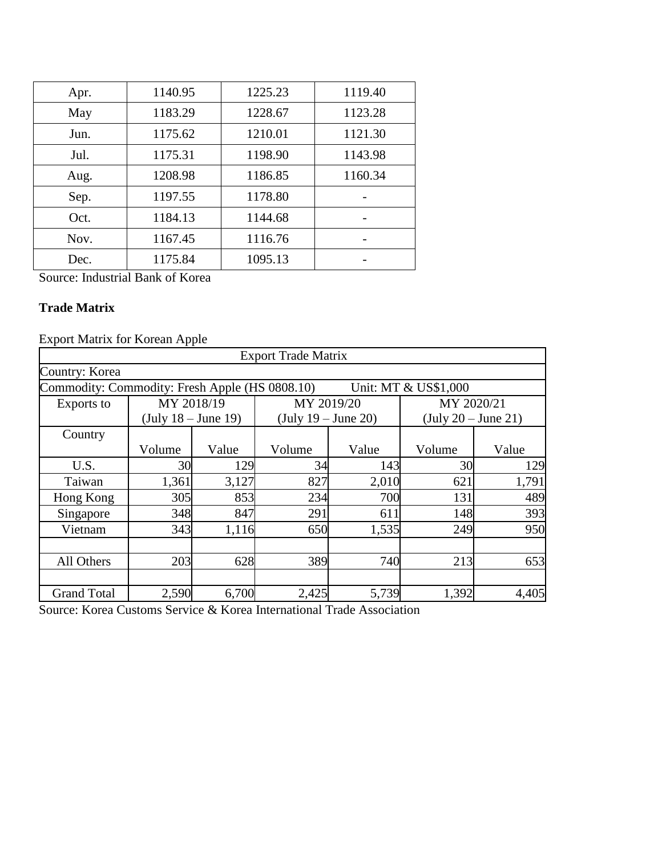| Apr. | 1140.95 | 1225.23 | 1119.40 |
|------|---------|---------|---------|
| May  | 1183.29 | 1228.67 | 1123.28 |
| Jun. | 1175.62 | 1210.01 | 1121.30 |
| Jul. | 1175.31 | 1198.90 | 1143.98 |
| Aug. | 1208.98 | 1186.85 | 1160.34 |
| Sep. | 1197.55 | 1178.80 |         |
| Oct. | 1184.13 | 1144.68 |         |
| Nov. | 1167.45 | 1116.76 |         |
| Dec. | 1175.84 | 1095.13 |         |

Source: Industrial Bank of Korea

# **Trade Matrix**

Export Matrix for Korean Apple

| <b>Export Trade Matrix</b>                                             |                                       |       |                                       |       |                                       |       |
|------------------------------------------------------------------------|---------------------------------------|-------|---------------------------------------|-------|---------------------------------------|-------|
| Country: Korea                                                         |                                       |       |                                       |       |                                       |       |
| Commodity: Commodity: Fresh Apple (HS 0808.10)<br>Unit: MT & US\$1,000 |                                       |       |                                       |       |                                       |       |
| Exports to                                                             | MY 2018/19                            |       | MY 2019/20                            |       | MY 2020/21                            |       |
|                                                                        | $(\text{July } 18 - \text{June } 19)$ |       | $(\text{July } 19 - \text{June } 20)$ |       | $(\text{July } 20 - \text{June } 21)$ |       |
| Country                                                                |                                       |       |                                       |       |                                       |       |
|                                                                        | Volume                                | Value | Volume                                | Value | Volume                                | Value |
| U.S.                                                                   | 30                                    | 129   | 34                                    | 143   | 30                                    | 129   |
| Taiwan                                                                 | 1,361                                 | 3,127 | 827                                   | 2,010 | 621                                   | 1,791 |
| Hong Kong                                                              | 305                                   | 853   | 234                                   | 700   | 131                                   | 489   |
| Singapore                                                              | 348                                   | 847   | 291                                   | 611   | 148                                   | 393   |
| Vietnam                                                                | 343                                   | 1,116 | 650                                   | 1,535 | 249                                   | 950   |
|                                                                        |                                       |       |                                       |       |                                       |       |
| All Others                                                             | 203                                   | 628   | 389                                   | 740   | 213                                   | 653   |
|                                                                        |                                       |       |                                       |       |                                       |       |
| <b>Grand Total</b>                                                     | 2,590                                 | 6,700 | 2,425                                 | 5,739 | 1,392                                 | 4,405 |

Source: Korea Customs Service & Korea International Trade Association